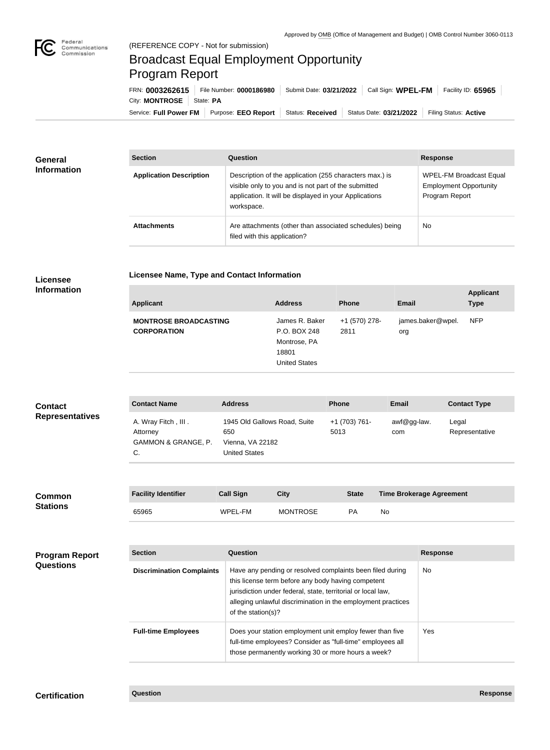

## Broadcast Equal Employment Opportunity Program Report

**Licensee Name, Type and Contact Information**

Service: Full Power FM Purpose: EEO Report | Status: Received | Status Date: 03/21/2022 | Filing Status: Active City: **MONTROSE** | State: PA FRN: **0003262615** File Number: **0000186980** Submit Date: **03/21/2022** Call Sign: **WPEL-FM** Facility ID: **65965**

| <b>General</b><br><b>Information</b> | <b>Section</b>                 | Question                                                                                                                                                                                | <b>Response</b>                                                            |  |
|--------------------------------------|--------------------------------|-----------------------------------------------------------------------------------------------------------------------------------------------------------------------------------------|----------------------------------------------------------------------------|--|
|                                      | <b>Application Description</b> | Description of the application (255 characters max.) is<br>visible only to you and is not part of the submitted<br>application. It will be displayed in your Applications<br>workspace. | WPEL-FM Broadcast Equal<br><b>Employment Opportunity</b><br>Program Report |  |
|                                      | <b>Attachments</b>             | Are attachments (other than associated schedules) being<br>filed with this application?                                                                                                 | <b>No</b>                                                                  |  |

## **Licensee Information**

| <b>Applicant</b>             | <b>Address</b>       | <b>Phone</b>  | <b>Email</b>      | <b>Applicant</b><br><b>Type</b> |
|------------------------------|----------------------|---------------|-------------------|---------------------------------|
| <b>MONTROSE BROADCASTING</b> | James R. Baker       | +1 (570) 278- | james.baker@wpel. | <b>NFP</b>                      |
| <b>CORPORATION</b>           | P.O. BOX 248         | 2811          | org               |                                 |
|                              | Montrose, PA         |               |                   |                                 |
|                              | 18801                |               |                   |                                 |
|                              | <b>United States</b> |               |                   |                                 |

| <b>Contact</b>         | <b>Contact Name</b>                                          | <b>Address</b>                                                                  | <b>Phone</b>          | <b>Email</b>       | <b>Contact Type</b>     |
|------------------------|--------------------------------------------------------------|---------------------------------------------------------------------------------|-----------------------|--------------------|-------------------------|
| <b>Representatives</b> | A. Wray Fitch, III.<br>Attorney<br>GAMMON & GRANGE, P.<br>C. | 1945 Old Gallows Road, Suite<br>650<br>Vienna, VA 22182<br><b>United States</b> | +1 (703) 761-<br>5013 | awf@gg-law.<br>com | Legal<br>Representative |

| <b>Common</b><br><b>Stations</b> | <b>Facility Identifier</b> | <b>Call Sign</b> | <b>City</b>     | <b>State</b> | <b>Time Brokerage Agreement</b> |
|----------------------------------|----------------------------|------------------|-----------------|--------------|---------------------------------|
|                                  | 65965                      | WPEL-FM          | <b>MONTROSE</b> | PA           | No                              |

| <b>Program Report</b><br><b>Questions</b> | <b>Section</b>                   | Question                                                                                                                                                                                                                                                              | <b>Response</b> |  |
|-------------------------------------------|----------------------------------|-----------------------------------------------------------------------------------------------------------------------------------------------------------------------------------------------------------------------------------------------------------------------|-----------------|--|
|                                           | <b>Discrimination Complaints</b> | Have any pending or resolved complaints been filed during<br>this license term before any body having competent<br>jurisdiction under federal, state, territorial or local law,<br>alleging unlawful discrimination in the employment practices<br>of the station(s)? | No.             |  |
|                                           | <b>Full-time Employees</b>       | Does your station employment unit employ fewer than five<br>full-time employees? Consider as "full-time" employees all<br>those permanently working 30 or more hours a week?                                                                                          | Yes             |  |

## **Certification Question Response**